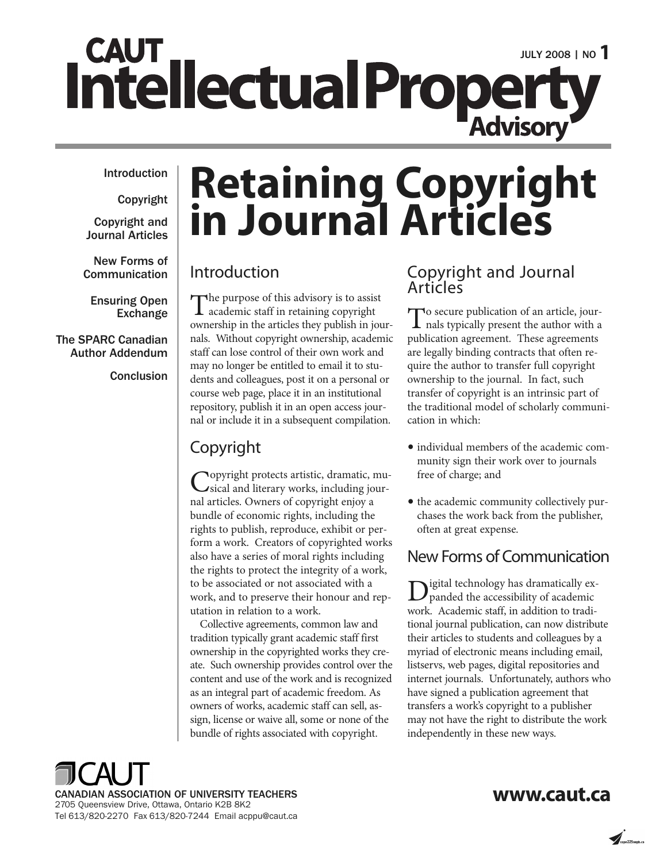# **CAUT** Intellectual Property Advisory

#### **Introduction**

**Copyright**

**Copyright and Journal Articles**

**New Forms of Communication**

**Ensuring Open Exchange**

#### **The SPARC Canadian Author Addendum**

**Conclusion**

# **Retaining Copyright in Journal Articles**

#### Introduction

The purpose of this advisory is to assist academic staff in retaining copyright ownership in the articles they publish in journals. Without copyright ownership, academic staff can lose control of their own work and may no longer be entitled to email it to students and colleagues, post it on a personal or course web page, place it in an institutional repository, publish it in an open access journal or include it in a subsequent compilation.

#### Copyright

Copyright protects artistic, dramatic, mu-sical and literary works, including journal articles. Owners of copyright enjoy a bundle of economic rights, including the rights to publish, reproduce, exhibit or perform a work. Creators of copyrighted works also have a series of moral rights including the rights to protect the integrity of a work, to be associated or not associated with a work, and to preserve their honour and reputation in relation to a work.

Collective agreements, common law and tradition typically grant academic staff first ownership in the copyrighted works they create. Such ownership provides control over the content and use of the work and is recognized as an integral part of academic freedom. As owners of works, academic staff can sell, assign, license or waive all, some or none of the bundle of rights associated with copyright.

#### Copyright and Journal Articles

To secure publication of an article, jour-<br>
nals typically present the author with a publication agreement. These agreements are legally binding contracts that often require the author to transfer full copyright ownership to the journal. In fact, such transfer of copyright is an intrinsic part of the traditional model of scholarly communication in which:

- •individual members of the academic community sign their work over to journals free of charge; and
- the academic community collectively purchases the work back from the publisher, often at great expense.

#### New Forms of Communication

Digital technology has dramatically ex-panded the accessibility of academic work. Academic staff, in addition to traditional journal publication, can now distribute their articles to students and colleagues by a myriad of electronic means including email, listservs, web pages, digital repositories and internet journals. Unfortunately, authors who have signed a publication agreement that transfers a work's copyright to a publisher may not have the right to distribute the work independently in these new ways.



#### **www.caut.ca**

 $\overline{\mathcal{A}}$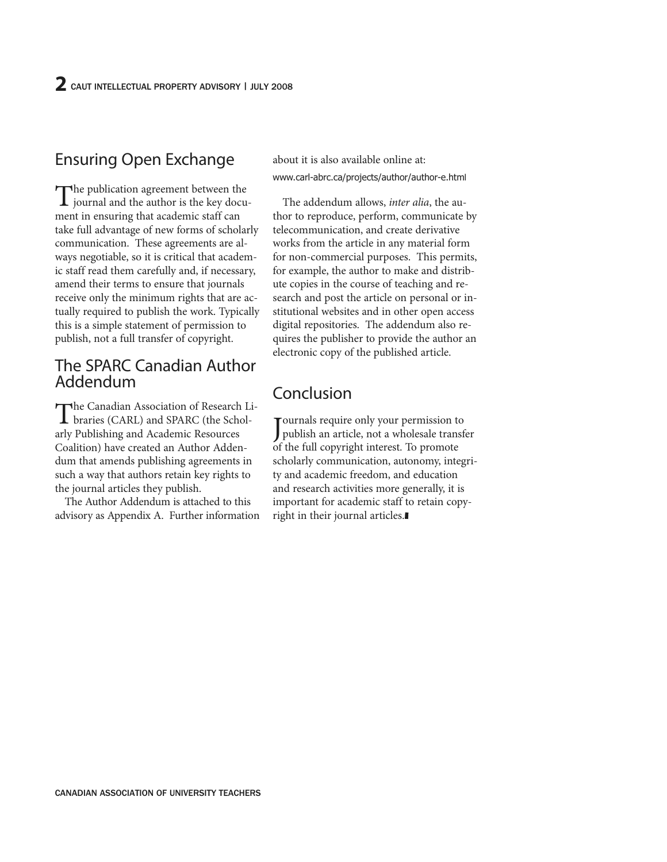## Ensuring Open Exchange

The publication agreement between the journal and the author is the key document in ensuring that academic staff can take full advantage of new forms of scholarly communication. These agreements are always negotiable, so it is critical that academic staff read them carefully and, if necessary, amend their terms to ensure that journals receive only the minimum rights that are actually required to publish the work. Typically this is a simple statement of permission to publish, not a full transfer of copyright.

#### The SPARC Canadian Author Addendum

The Canadian Association of Research Libraries (CARL) and SPARC (the Scholarly Publishing and Academic Resources Coalition) have created an Author Addendum that amends publishing agreements in such a way that authors retain key rights to the journal articles they publish.

The Author Addendum is attached to this advisory as Appendix A. Further information about it is also available online at: www.carl-abrc.ca/projects/author/author-e.html

The addendum allows, *inter alia*, the author to reproduce, perform, communicate by telecommunication, and create derivative works from the article in any material form for non-commercial purposes. This permits, for example, the author to make and distribute copies in the course of teaching and research and post the article on personal or institutional websites and in other open access digital repositories. The addendum also requires the publisher to provide the author an electronic copy of the published article.

#### Conclusion

Journals require only your permission to<br>publish an article, not a wholesale transfer Tournals require only your permission to of the full copyright interest. To promote scholarly communication, autonomy, integrity and academic freedom, and education and research activities more generally, it is important for academic staff to retain copyright in their journal articles.